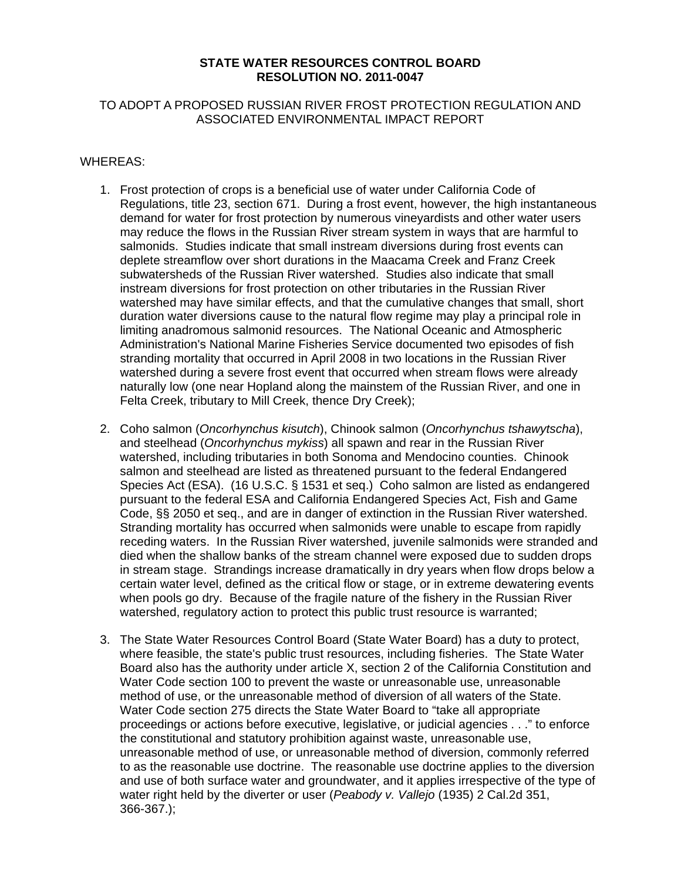#### **STATE WATER RESOURCES CONTROL BOARD RESOLUTION NO. 2011-0047**

## TO ADOPT A PROPOSED RUSSIAN RIVER FROST PROTECTION REGULATION AND ASSOCIATED ENVIRONMENTAL IMPACT REPORT

### WHEREAS:

- 1. Frost protection of crops is a beneficial use of water under California Code of Regulations, title 23, section 671. During a frost event, however, the high instantaneous demand for water for frost protection by numerous vineyardists and other water users may reduce the flows in the Russian River stream system in ways that are harmful to salmonids. Studies indicate that small instream diversions during frost events can deplete streamflow over short durations in the Maacama Creek and Franz Creek subwatersheds of the Russian River watershed. Studies also indicate that small instream diversions for frost protection on other tributaries in the Russian River watershed may have similar effects, and that the cumulative changes that small, short duration water diversions cause to the natural flow regime may play a principal role in limiting anadromous salmonid resources. The National Oceanic and Atmospheric Administration's National Marine Fisheries Service documented two episodes of fish stranding mortality that occurred in April 2008 in two locations in the Russian River watershed during a severe frost event that occurred when stream flows were already naturally low (one near Hopland along the mainstem of the Russian River, and one in Felta Creek, tributary to Mill Creek, thence Dry Creek);
- 2. Coho salmon (*Oncorhynchus kisutch*), Chinook salmon (*Oncorhynchus tshawytscha*), and steelhead (*Oncorhynchus mykiss*) all spawn and rear in the Russian River watershed, including tributaries in both Sonoma and Mendocino counties. Chinook salmon and steelhead are listed as threatened pursuant to the federal Endangered Species Act (ESA). (16 U.S.C. § 1531 et seq.) Coho salmon are listed as endangered pursuant to the federal ESA and California Endangered Species Act, Fish and Game Code, §§ 2050 et seq., and are in danger of extinction in the Russian River watershed. Stranding mortality has occurred when salmonids were unable to escape from rapidly receding waters. In the Russian River watershed, juvenile salmonids were stranded and died when the shallow banks of the stream channel were exposed due to sudden drops in stream stage. Strandings increase dramatically in dry years when flow drops below a certain water level, defined as the critical flow or stage, or in extreme dewatering events when pools go dry. Because of the fragile nature of the fishery in the Russian River watershed, regulatory action to protect this public trust resource is warranted;
- 3. The State Water Resources Control Board (State Water Board) has a duty to protect, where feasible, the state's public trust resources, including fisheries. The State Water Board also has the authority under article X, section 2 of the California Constitution and Water Code section 100 to prevent the waste or unreasonable use, unreasonable method of use, or the unreasonable method of diversion of all waters of the State. Water Code section 275 directs the State Water Board to "take all appropriate proceedings or actions before executive, legislative, or judicial agencies . . ." to enforce the constitutional and statutory prohibition against waste, unreasonable use, unreasonable method of use, or unreasonable method of diversion, commonly referred to as the reasonable use doctrine. The reasonable use doctrine applies to the diversion and use of both surface water and groundwater, and it applies irrespective of the type of water right held by the diverter or user (*Peabody v. Vallejo* (1935) 2 Cal.2d 351, 366-367.);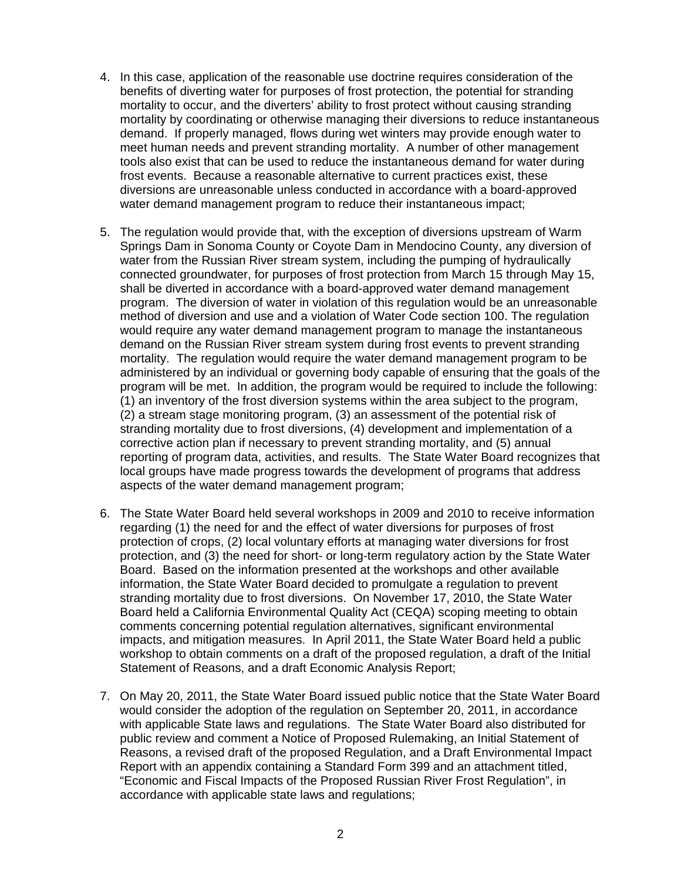- 4. In this case, application of the reasonable use doctrine requires consideration of the benefits of diverting water for purposes of frost protection, the potential for stranding mortality to occur, and the diverters' ability to frost protect without causing stranding mortality by coordinating or otherwise managing their diversions to reduce instantaneous demand. If properly managed, flows during wet winters may provide enough water to meet human needs and prevent stranding mortality. A number of other management tools also exist that can be used to reduce the instantaneous demand for water during frost events. Because a reasonable alternative to current practices exist, these diversions are unreasonable unless conducted in accordance with a board-approved water demand management program to reduce their instantaneous impact;
- 5. The regulation would provide that, with the exception of diversions upstream of Warm Springs Dam in Sonoma County or Coyote Dam in Mendocino County, any diversion of water from the Russian River stream system, including the pumping of hydraulically connected groundwater, for purposes of frost protection from March 15 through May 15, shall be diverted in accordance with a board-approved water demand management program. The diversion of water in violation of this regulation would be an unreasonable method of diversion and use and a violation of Water Code section 100. The regulation would require any water demand management program to manage the instantaneous demand on the Russian River stream system during frost events to prevent stranding mortality. The regulation would require the water demand management program to be administered by an individual or governing body capable of ensuring that the goals of the program will be met. In addition, the program would be required to include the following: (1) an inventory of the frost diversion systems within the area subject to the program, (2) a stream stage monitoring program, (3) an assessment of the potential risk of stranding mortality due to frost diversions, (4) development and implementation of a corrective action plan if necessary to prevent stranding mortality, and (5) annual reporting of program data, activities, and results. The State Water Board recognizes that local groups have made progress towards the development of programs that address aspects of the water demand management program;
- 6. The State Water Board held several workshops in 2009 and 2010 to receive information regarding (1) the need for and the effect of water diversions for purposes of frost protection of crops, (2) local voluntary efforts at managing water diversions for frost protection, and (3) the need for short- or long-term regulatory action by the State Water Board. Based on the information presented at the workshops and other available information, the State Water Board decided to promulgate a regulation to prevent stranding mortality due to frost diversions. On November 17, 2010, the State Water Board held a California Environmental Quality Act (CEQA) scoping meeting to obtain comments concerning potential regulation alternatives, significant environmental impacts, and mitigation measures. In April 2011, the State Water Board held a public workshop to obtain comments on a draft of the proposed regulation, a draft of the Initial Statement of Reasons, and a draft Economic Analysis Report;
- 7. On May 20, 2011, the State Water Board issued public notice that the State Water Board would consider the adoption of the regulation on September 20, 2011, in accordance with applicable State laws and regulations. The State Water Board also distributed for public review and comment a Notice of Proposed Rulemaking, an Initial Statement of Reasons, a revised draft of the proposed Regulation, and a Draft Environmental Impact Report with an appendix containing a Standard Form 399 and an attachment titled, "Economic and Fiscal Impacts of the Proposed Russian River Frost Regulation", in accordance with applicable state laws and regulations;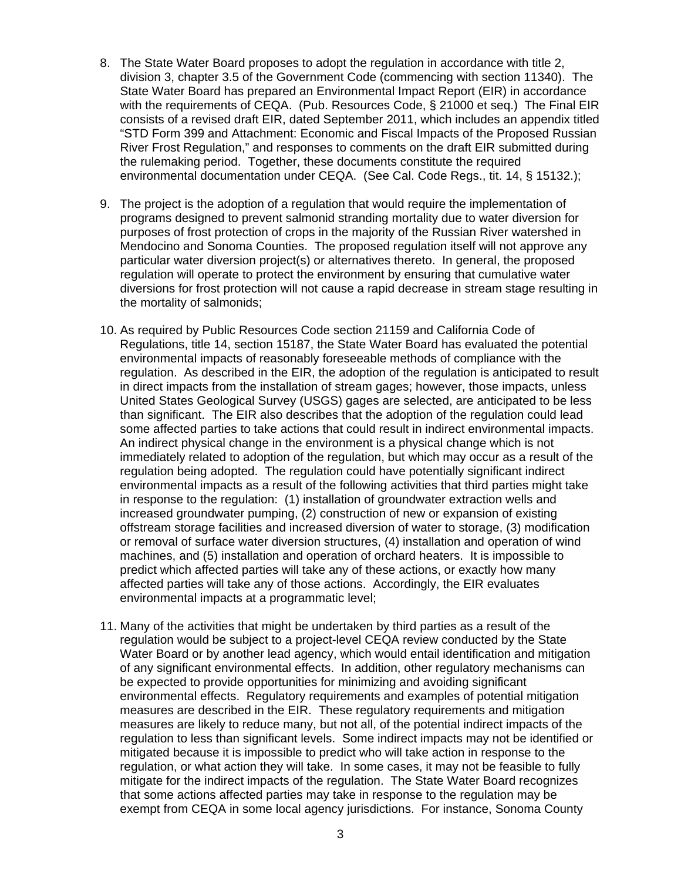- 8. The State Water Board proposes to adopt the regulation in accordance with title 2, division 3, chapter 3.5 of the Government Code (commencing with section 11340). The State Water Board has prepared an Environmental Impact Report (EIR) in accordance with the requirements of CEQA. (Pub. Resources Code, § 21000 et seq.) The Final EIR consists of a revised draft EIR, dated September 2011, which includes an appendix titled "STD Form 399 and Attachment: Economic and Fiscal Impacts of the Proposed Russian River Frost Regulation," and responses to comments on the draft EIR submitted during the rulemaking period. Together, these documents constitute the required environmental documentation under CEQA. (See Cal. Code Regs., tit. 14, § 15132.);
- 9. The project is the adoption of a regulation that would require the implementation of programs designed to prevent salmonid stranding mortality due to water diversion for purposes of frost protection of crops in the majority of the Russian River watershed in Mendocino and Sonoma Counties. The proposed regulation itself will not approve any particular water diversion project(s) or alternatives thereto. In general, the proposed regulation will operate to protect the environment by ensuring that cumulative water diversions for frost protection will not cause a rapid decrease in stream stage resulting in the mortality of salmonids;
- 10. As required by Public Resources Code section 21159 and California Code of Regulations, title 14, section 15187, the State Water Board has evaluated the potential environmental impacts of reasonably foreseeable methods of compliance with the regulation. As described in the EIR, the adoption of the regulation is anticipated to result in direct impacts from the installation of stream gages; however, those impacts, unless United States Geological Survey (USGS) gages are selected, are anticipated to be less than significant. The EIR also describes that the adoption of the regulation could lead some affected parties to take actions that could result in indirect environmental impacts. An indirect physical change in the environment is a physical change which is not immediately related to adoption of the regulation, but which may occur as a result of the regulation being adopted. The regulation could have potentially significant indirect environmental impacts as a result of the following activities that third parties might take in response to the regulation: (1) installation of groundwater extraction wells and increased groundwater pumping, (2) construction of new or expansion of existing offstream storage facilities and increased diversion of water to storage, (3) modification or removal of surface water diversion structures, (4) installation and operation of wind machines, and (5) installation and operation of orchard heaters. It is impossible to predict which affected parties will take any of these actions, or exactly how many affected parties will take any of those actions. Accordingly, the EIR evaluates environmental impacts at a programmatic level;
- 11. Many of the activities that might be undertaken by third parties as a result of the regulation would be subject to a project-level CEQA review conducted by the State Water Board or by another lead agency, which would entail identification and mitigation of any significant environmental effects. In addition, other regulatory mechanisms can be expected to provide opportunities for minimizing and avoiding significant environmental effects. Regulatory requirements and examples of potential mitigation measures are described in the EIR. These regulatory requirements and mitigation measures are likely to reduce many, but not all, of the potential indirect impacts of the regulation to less than significant levels. Some indirect impacts may not be identified or mitigated because it is impossible to predict who will take action in response to the regulation, or what action they will take. In some cases, it may not be feasible to fully mitigate for the indirect impacts of the regulation. The State Water Board recognizes that some actions affected parties may take in response to the regulation may be exempt from CEQA in some local agency jurisdictions. For instance, Sonoma County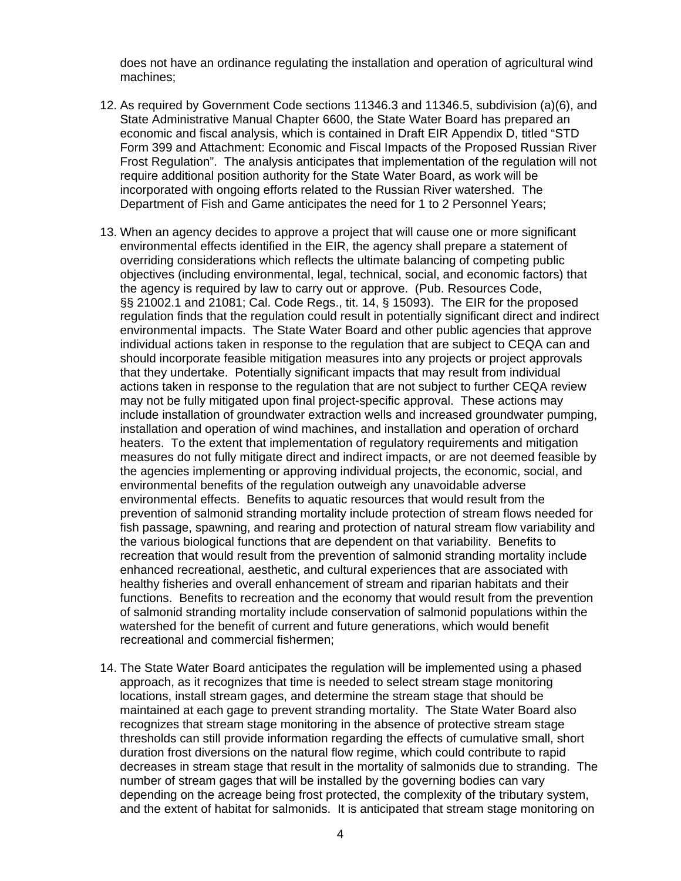does not have an ordinance regulating the installation and operation of agricultural wind machines;

- 12. As required by Government Code sections 11346.3 and 11346.5, subdivision (a)(6), and State Administrative Manual Chapter 6600, the State Water Board has prepared an economic and fiscal analysis, which is contained in Draft EIR Appendix D, titled "STD Form 399 and Attachment: Economic and Fiscal Impacts of the Proposed Russian River Frost Regulation". The analysis anticipates that implementation of the regulation will not require additional position authority for the State Water Board, as work will be incorporated with ongoing efforts related to the Russian River watershed. The Department of Fish and Game anticipates the need for 1 to 2 Personnel Years;
- 13. When an agency decides to approve a project that will cause one or more significant environmental effects identified in the EIR, the agency shall prepare a statement of overriding considerations which reflects the ultimate balancing of competing public objectives (including environmental, legal, technical, social, and economic factors) that the agency is required by law to carry out or approve. (Pub. Resources Code, §§ 21002.1 and 21081; Cal. Code Regs., tit. 14, § 15093). The EIR for the proposed regulation finds that the regulation could result in potentially significant direct and indirect environmental impacts. The State Water Board and other public agencies that approve individual actions taken in response to the regulation that are subject to CEQA can and should incorporate feasible mitigation measures into any projects or project approvals that they undertake. Potentially significant impacts that may result from individual actions taken in response to the regulation that are not subject to further CEQA review may not be fully mitigated upon final project-specific approval. These actions may include installation of groundwater extraction wells and increased groundwater pumping, installation and operation of wind machines, and installation and operation of orchard heaters. To the extent that implementation of regulatory requirements and mitigation measures do not fully mitigate direct and indirect impacts, or are not deemed feasible by the agencies implementing or approving individual projects, the economic, social, and environmental benefits of the regulation outweigh any unavoidable adverse environmental effects. Benefits to aquatic resources that would result from the prevention of salmonid stranding mortality include protection of stream flows needed for fish passage, spawning, and rearing and protection of natural stream flow variability and the various biological functions that are dependent on that variability. Benefits to recreation that would result from the prevention of salmonid stranding mortality include enhanced recreational, aesthetic, and cultural experiences that are associated with healthy fisheries and overall enhancement of stream and riparian habitats and their functions. Benefits to recreation and the economy that would result from the prevention of salmonid stranding mortality include conservation of salmonid populations within the watershed for the benefit of current and future generations, which would benefit recreational and commercial fishermen;
- 14. The State Water Board anticipates the regulation will be implemented using a phased approach, as it recognizes that time is needed to select stream stage monitoring locations, install stream gages, and determine the stream stage that should be maintained at each gage to prevent stranding mortality. The State Water Board also recognizes that stream stage monitoring in the absence of protective stream stage thresholds can still provide information regarding the effects of cumulative small, short duration frost diversions on the natural flow regime, which could contribute to rapid decreases in stream stage that result in the mortality of salmonids due to stranding. The number of stream gages that will be installed by the governing bodies can vary depending on the acreage being frost protected, the complexity of the tributary system, and the extent of habitat for salmonids. It is anticipated that stream stage monitoring on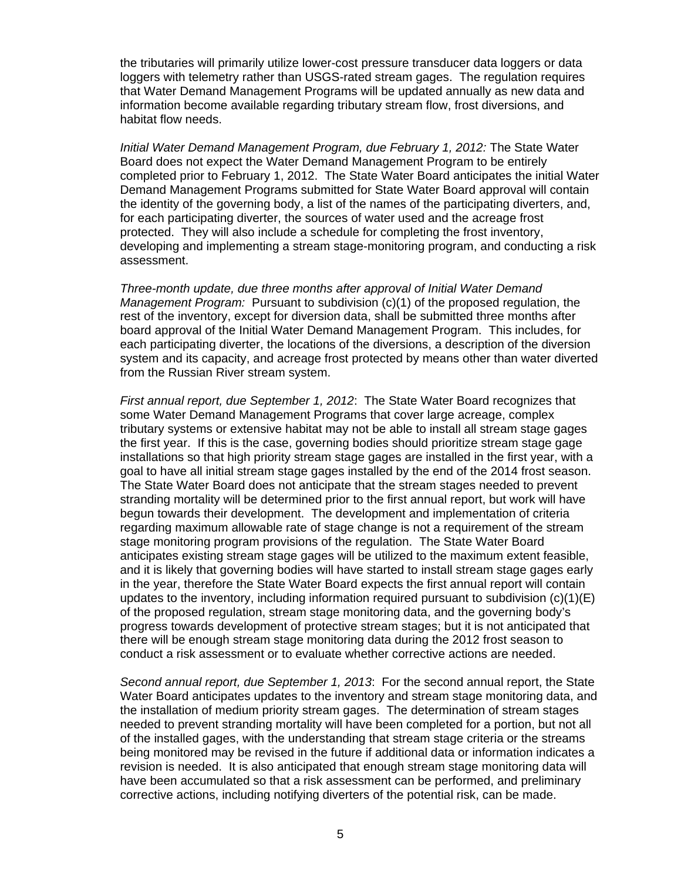the tributaries will primarily utilize lower-cost pressure transducer data loggers or data loggers with telemetry rather than USGS-rated stream gages. The regulation requires that Water Demand Management Programs will be updated annually as new data and information become available regarding tributary stream flow, frost diversions, and habitat flow needs.

*Initial Water Demand Management Program, due February 1, 2012:* The State Water Board does not expect the Water Demand Management Program to be entirely completed prior to February 1, 2012. The State Water Board anticipates the initial Water Demand Management Programs submitted for State Water Board approval will contain the identity of the governing body, a list of the names of the participating diverters, and, for each participating diverter, the sources of water used and the acreage frost protected. They will also include a schedule for completing the frost inventory, developing and implementing a stream stage-monitoring program, and conducting a risk assessment.

*Three-month update, due three months after approval of Initial Water Demand Management Program:* Pursuant to subdivision (c)(1) of the proposed regulation, the rest of the inventory, except for diversion data, shall be submitted three months after board approval of the Initial Water Demand Management Program. This includes, for each participating diverter, the locations of the diversions, a description of the diversion system and its capacity, and acreage frost protected by means other than water diverted from the Russian River stream system.

*First annual report, due September 1, 2012*: The State Water Board recognizes that some Water Demand Management Programs that cover large acreage, complex tributary systems or extensive habitat may not be able to install all stream stage gages the first year. If this is the case, governing bodies should prioritize stream stage gage installations so that high priority stream stage gages are installed in the first year, with a goal to have all initial stream stage gages installed by the end of the 2014 frost season. The State Water Board does not anticipate that the stream stages needed to prevent stranding mortality will be determined prior to the first annual report, but work will have begun towards their development. The development and implementation of criteria regarding maximum allowable rate of stage change is not a requirement of the stream stage monitoring program provisions of the regulation. The State Water Board anticipates existing stream stage gages will be utilized to the maximum extent feasible, and it is likely that governing bodies will have started to install stream stage gages early in the year, therefore the State Water Board expects the first annual report will contain updates to the inventory, including information required pursuant to subdivision  $(c)(1)(E)$ of the proposed regulation, stream stage monitoring data, and the governing body's progress towards development of protective stream stages; but it is not anticipated that there will be enough stream stage monitoring data during the 2012 frost season to conduct a risk assessment or to evaluate whether corrective actions are needed.

*Second annual report, due September 1, 2013*: For the second annual report, the State Water Board anticipates updates to the inventory and stream stage monitoring data, and the installation of medium priority stream gages. The determination of stream stages needed to prevent stranding mortality will have been completed for a portion, but not all of the installed gages, with the understanding that stream stage criteria or the streams being monitored may be revised in the future if additional data or information indicates a revision is needed. It is also anticipated that enough stream stage monitoring data will have been accumulated so that a risk assessment can be performed, and preliminary corrective actions, including notifying diverters of the potential risk, can be made.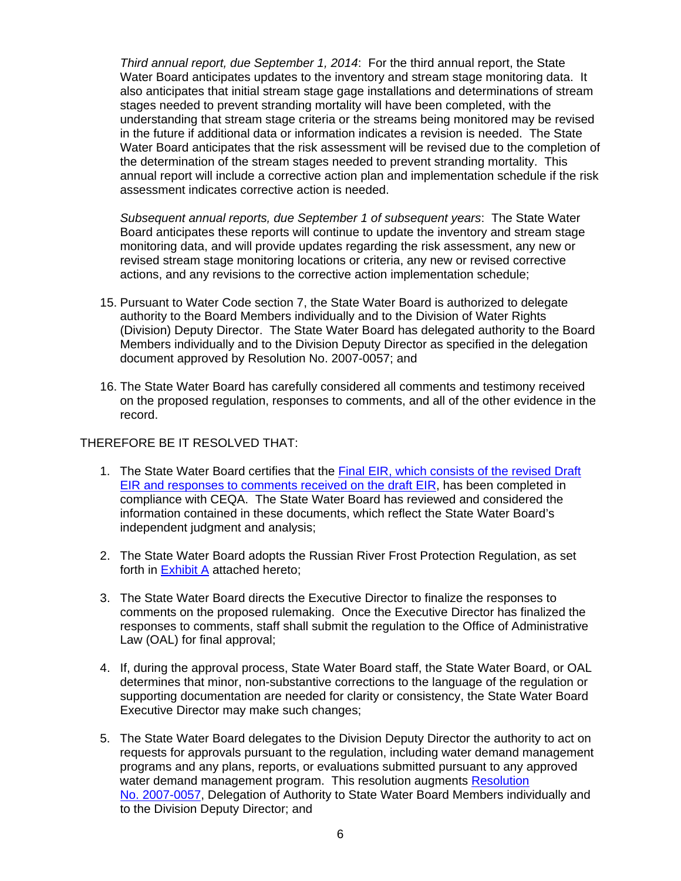*Third annual report, due September 1, 2014*: For the third annual report, the State Water Board anticipates updates to the inventory and stream stage monitoring data. It also anticipates that initial stream stage gage installations and determinations of stream stages needed to prevent stranding mortality will have been completed, with the understanding that stream stage criteria or the streams being monitored may be revised in the future if additional data or information indicates a revision is needed. The State Water Board anticipates that the risk assessment will be revised due to the completion of the determination of the stream stages needed to prevent stranding mortality. This annual report will include a corrective action plan and implementation schedule if the risk assessment indicates corrective action is needed.

*Subsequent annual reports, due September 1 of subsequent years*: The State Water Board anticipates these reports will continue to update the inventory and stream stage monitoring data, and will provide updates regarding the risk assessment, any new or revised stream stage monitoring locations or criteria, any new or revised corrective actions, and any revisions to the corrective action implementation schedule;

- 15. Pursuant to Water Code section 7, the State Water Board is authorized to delegate authority to the Board Members individually and to the Division of Water Rights (Division) Deputy Director. The State Water Board has delegated authority to the Board Members individually and to the Division Deputy Director as specified in the delegation document approved by Resolution No. 2007-0057; and
- 16. The State Water Board has carefully considered all comments and testimony received on the proposed regulation, responses to comments, and all of the other evidence in the record.

## THEREFORE BE IT RESOLVED THAT:

- 1. The State Water Board certifies that the Final EIR, which consists of the revised Draft [EIR and responses to comments received on the draft EIR](http://www.waterboards.ca.gov/waterrights/water_issues/programs/hearings/russian_river_frost/docs/090177rev_deir.pdf), has been completed in compliance with CEQA. The State Water Board has reviewed and considered the information contained in these documents, which reflect the State Water Board's independent judgment and analysis;
- 2. The State Water Board adopts the Russian River Frost Protection Regulation, as set forth in Exhibit A attached hereto;
- 3. The State Water Board directs the Executive Director to finalize the responses to comments on the proposed rulemaking. Once the Executive Director has finalized the responses to comments, staff shall submit the regulation to the Office of Administrative Law (OAL) for final approval;
- 4. If, during the approval process, State Water Board staff, the State Water Board, or OAL determines that minor, non-substantive corrections to the language of the regulation or supporting documentation are needed for clarity or consistency, the State Water Board Executive Director may make such changes;
- 5. The State Water Board delegates to the Division Deputy Director the authority to act on requests for approvals pursuant to the regulation, including water demand management programs and any plans, reports, or evaluations submitted pursuant to any approved water demand management program. This resolution augments Resolution [No. 2007-0057,](http://www.waterboards.ca.gov/board_decisions/adopted_orders/resolutions/2007/rs2007_0057.pdf) Delegation of Authority to State Water Board Members individually and to the Division Deputy Director; and